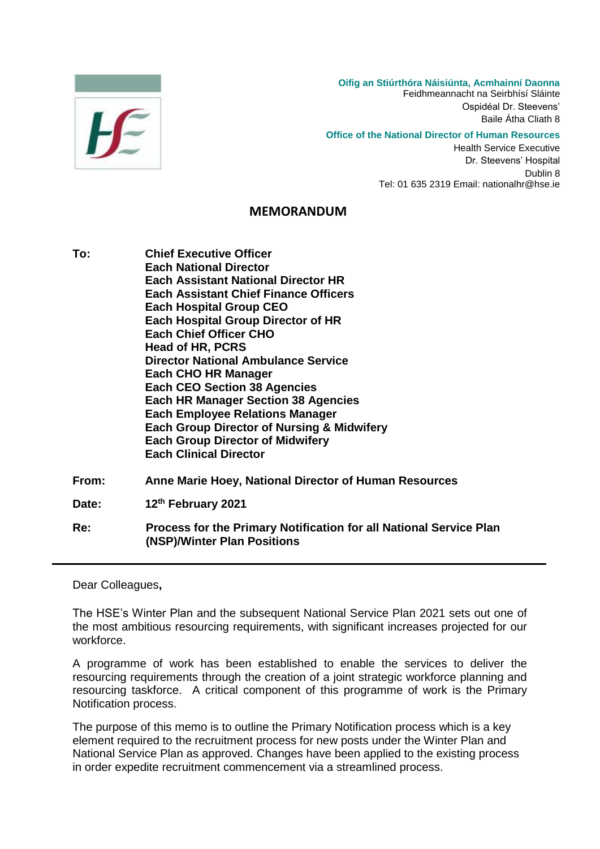

**Oifig an Stiúrthóra Náisiúnta, Acmhainní Daonna** Feidhmeannacht na Seirbhísí Sláinte

Ospidéal Dr. Steevens' Baile Átha Cliath 8

## **Office of the National Director of Human Resources**

Health Service Executive Dr. Steevens' Hospital Dublin 8 Tel: 01 635 2319 Email: nationalhr@hse.ie

## **MEMORANDUM**

- **To: Chief Executive Officer Each National Director Each Assistant National Director HR Each Assistant Chief Finance Officers Each Hospital Group CEO Each Hospital Group Director of HR Each Chief Officer CHO Head of HR, PCRS Director National Ambulance Service Each CHO HR Manager Each CEO Section 38 Agencies Each HR Manager Section 38 Agencies Each Employee Relations Manager Each Group Director of Nursing & Midwifery Each Group Director of Midwifery Each Clinical Director From: Anne Marie Hoey, National Director of Human Resources Date: 12th February 2021**
- **Re: Process for the Primary Notification for all National Service Plan (NSP)/Winter Plan Positions**

Dear Colleagues**,**

The HSE's Winter Plan and the subsequent National Service Plan 2021 sets out one of the most ambitious resourcing requirements, with significant increases projected for our workforce.

A programme of work has been established to enable the services to deliver the resourcing requirements through the creation of a joint strategic workforce planning and resourcing taskforce. A critical component of this programme of work is the Primary Notification process.

The purpose of this memo is to outline the Primary Notification process which is a key element required to the recruitment process for new posts under the Winter Plan and National Service Plan as approved. Changes have been applied to the existing process in order expedite recruitment commencement via a streamlined process.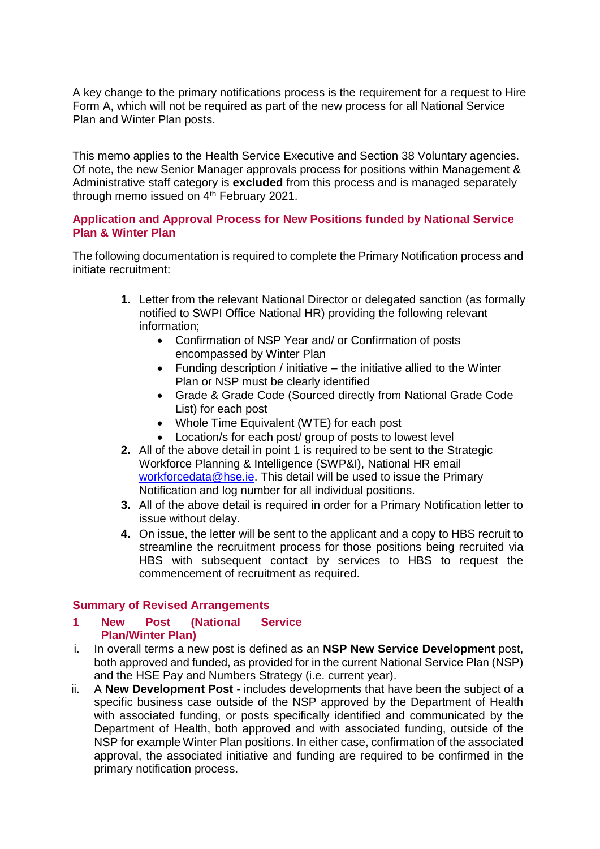A key change to the primary notifications process is the requirement for a request to Hire Form A, which will not be required as part of the new process for all National Service Plan and Winter Plan posts.

This memo applies to the Health Service Executive and Section 38 Voluntary agencies. Of note, the new Senior Manager approvals process for positions within Management & Administrative staff category is **excluded** from this process and is managed separately through memo issued on 4<sup>th</sup> February 2021.

## **Application and Approval Process for New Positions funded by National Service Plan & Winter Plan**

The following documentation is required to complete the Primary Notification process and initiate recruitment:

- **1.** Letter from the relevant National Director or delegated sanction (as formally notified to SWPI Office National HR) providing the following relevant information;
	- Confirmation of NSP Year and/ or Confirmation of posts encompassed by Winter Plan
	- $\bullet$  Funding description / initiative the initiative allied to the Winter Plan or NSP must be clearly identified
	- Grade & Grade Code (Sourced directly from National Grade Code List) for each post
	- Whole Time Equivalent (WTE) for each post
	- Location/s for each post/ group of posts to lowest level
- **2.** All of the above detail in point 1 is required to be sent to the Strategic Workforce Planning & Intelligence (SWP&I), National HR email [workforcedata@hse.ie.](mailto:workforcedata@hse.ie) This detail will be used to issue the Primary Notification and log number for all individual positions.
- **3.** All of the above detail is required in order for a Primary Notification letter to issue without delay.
- **4.** On issue, the letter will be sent to the applicant and a copy to HBS recruit to streamline the recruitment process for those positions being recruited via HBS with subsequent contact by services to HBS to request the commencement of recruitment as required.

## **Summary of Revised Arrangements**

- **1 New Post (National Service Plan/Winter Plan)**
- i. In overall terms a new post is defined as an **NSP New Service Development** post, both approved and funded, as provided for in the current National Service Plan (NSP) and the HSE Pay and Numbers Strategy (i.e. current year).
- ii. A **New Development Post** includes developments that have been the subject of a specific business case outside of the NSP approved by the Department of Health with associated funding, or posts specifically identified and communicated by the Department of Health, both approved and with associated funding, outside of the NSP for example Winter Plan positions. In either case, confirmation of the associated approval, the associated initiative and funding are required to be confirmed in the primary notification process.